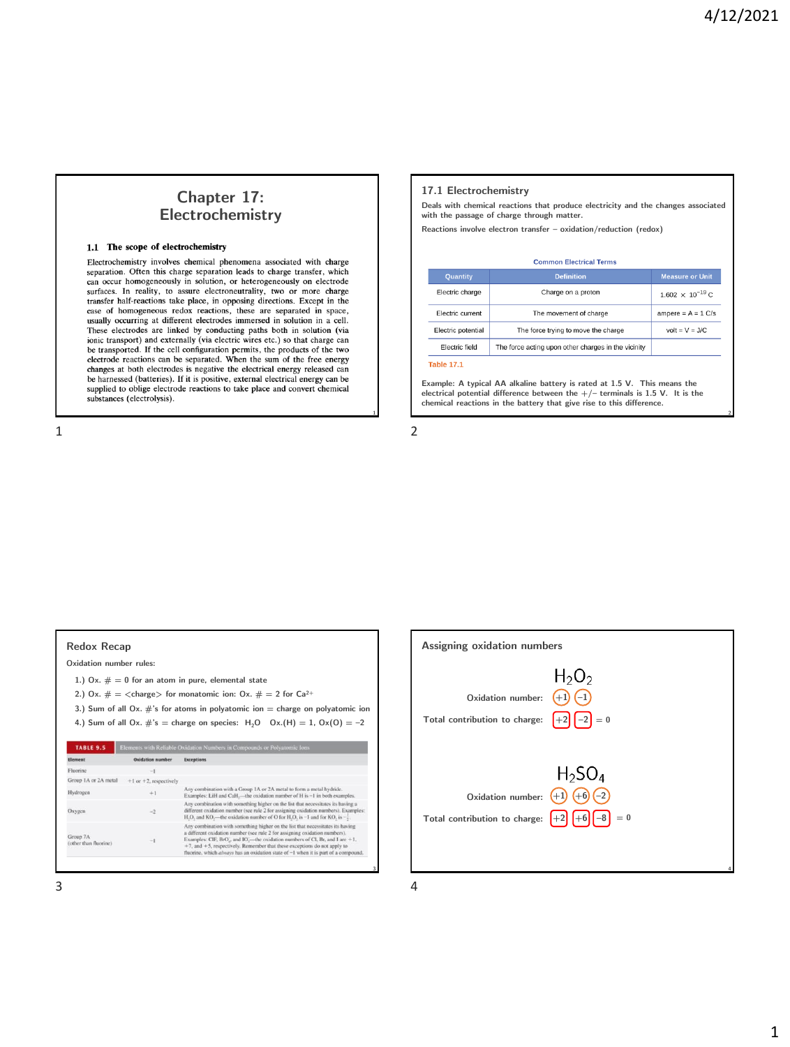# **Chapter 17: Electrochemistry**

#### 1.1 The scope of electrochemistry

Electrochemistry involves chemical phenomena associated with charge separation. Often this charge separation leads to charge transfer, which can occur homogeneously in solution, or heterogeneously on electrode surfaces. In reality, to assure electroneutrality, two or more charge transfer half-reactions take place, in opposing directions. Except in the case of homogeneous redox reactions, these are separated in space, usually occurring at different electrodes immersed in solution in a cell. These electrodes are linked by conducting paths both in solution (via ionic transport) and externally (via electric wires etc.) so that charge can be transported. If the cell configuration permits, the products of the two electrode reactions can be separated. When the sum of the free energy changes at both electrodes is negative the electrical energy released can be harnessed (batteries). If it is positive, external electrical energy can be supplied to oblige electrode reactions to take place and convert chemical substances (electrolysis).

 $1$  2

#### **17.1 Electrochemistry**

**Deals with chemical reactions that produce electricity and the changes associated with the passage of charge through matter.**

**Reactions involve electron transfer – oxidation/reduction (redox)**

| <b>Common Electrical Terms</b> |                                                     |                           |  |  |  |  |
|--------------------------------|-----------------------------------------------------|---------------------------|--|--|--|--|
| <b>Quantity</b>                | <b>Definition</b>                                   | <b>Measure or Unit</b>    |  |  |  |  |
| Electric charge                | Charge on a proton                                  | $1.602 \times 10^{-19}$ C |  |  |  |  |
| Electric current               | The movement of charge                              | ampere = $A = 1$ C/s      |  |  |  |  |
| Electric potential             | The force trying to move the charge                 | $volt = V = J/C$          |  |  |  |  |
| <b>Electric field</b>          | The force acting upon other charges in the vicinity |                           |  |  |  |  |

**Table 17.1** 

**Example: A typical AA alkaline battery is rated at 1.5 V. This means the electrical potential difference between the +/– terminals is 1.5 V. It is the chemical reactions in the battery that give rise to this difference.**

**3**

## **Redox Recap**

**Oxidation number rules:**

- **1.) Ox. # = 0 for an atom in pure, elemental state**
- 2.) Ox.  $# = \langle \text{charge} \rangle$  for monatomic ion: Ox.  $# = 2$  for  $Ca^{2+}$
- **3.) Sum of all Ox. #'s for atoms in polyatomic ion = charge on polyatomic ion 4.)** Sum of all Ox.  $\#$ 's = charge on species:  $H_2O$  Ox.(H) = 1, Ox(O) = -2

| Element                           | Oxidation number            | <b>Exceptions</b>                                                                                                                                                                                                                                                                                                                                                                                                      |
|-----------------------------------|-----------------------------|------------------------------------------------------------------------------------------------------------------------------------------------------------------------------------------------------------------------------------------------------------------------------------------------------------------------------------------------------------------------------------------------------------------------|
| Fluorine                          | $-1$                        |                                                                                                                                                                                                                                                                                                                                                                                                                        |
| Group 1A or 2A metal              | $+1$ or $+2$ , respectively |                                                                                                                                                                                                                                                                                                                                                                                                                        |
| Hydrogen                          | $+1$                        | Any combination with a Group 1A or 2A metal to form a metal hydride.<br>Examples: LiH and CaH,—the oxidation number of H is -1 in both examples.                                                                                                                                                                                                                                                                       |
| Oxvgen                            | $-2$                        | Any combination with something higher on the list that necessitates its having a<br>different oxidation number (see rule 2 for assigning oxidation numbers). Examples:<br>H,O, and KO,—the oxidation number of O for H,O, is $-1$ and for KO, is $-\frac{1}{3}$ .                                                                                                                                                      |
| Group 7A<br>(other than fluorine) | $^{-1}$                     | Any combination with something higher on the list that necessitates its having<br>a different oxidation number (see rule 2 for assigning oxidation numbers).<br>Examples: CIF, BrO., and IO.—the oxidation numbers of CI, Br, and I are $+1$ ,<br>$+7$ , and $+5$ , respectively. Remember that these exceptions do not apply to<br>fluorine, which always has an oxidation state of -1 when it is part of a compound. |

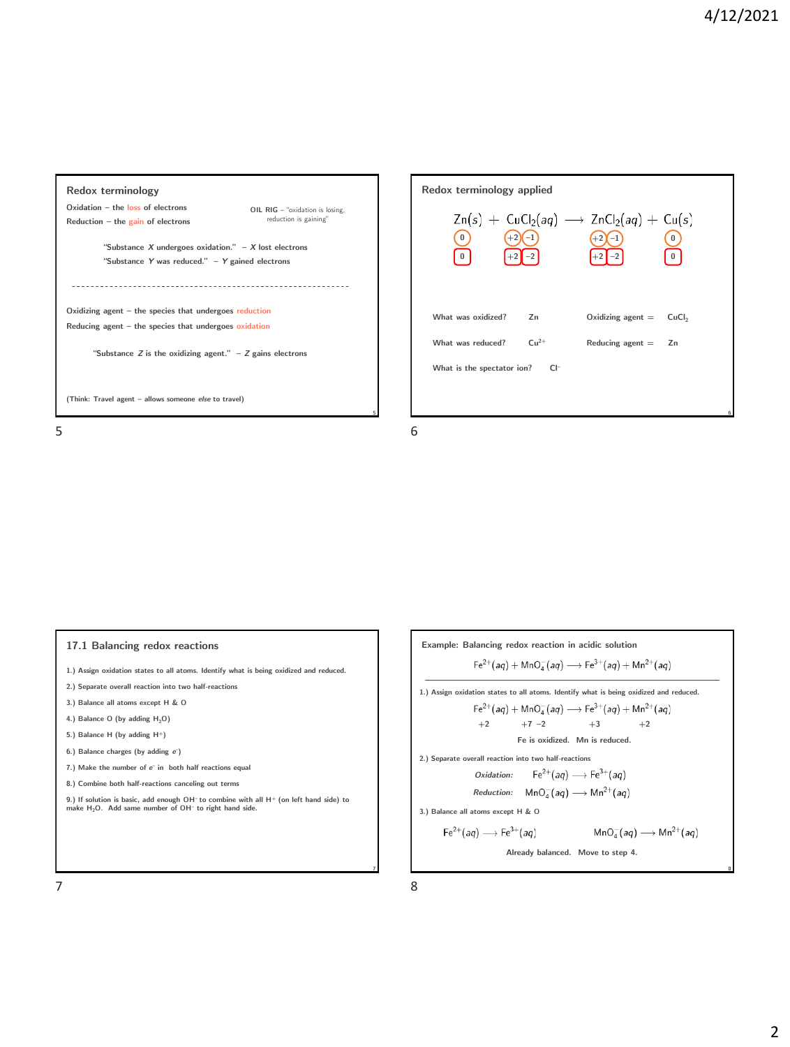





- **1.) Assign oxidation states to all atoms. Identify what is being oxidized and reduced.**
- **2.) Separate overall reaction into two half-reactions**
- **3.) Balance all atoms except H & O**
- **4.)** Balance O (by adding  $H_2O$ )
- **5.) Balance H (by adding H<sup>+</sup>)**
- **6.) Balance charges (by adding** *e* **–)**
- **7.) Make the number of** *e* **– in both half reactions equal**
- **8.) Combine both half-reactions canceling out terms**

**9.) If solution is basic, add enough OH– to combine with all H<sup>+</sup> (on left hand side) to make H2O. Add same number of OH– to right hand side.**

**Example: Balancing redox reaction in acidic solution**  $Fe^{2+}(aq) + MnO_4^-(aq) \longrightarrow Fe^{3+}(aq) + Mn^{2+}(aq)$ **1.) Assign oxidation states to all atoms. Identify what is being oxidized and reduced.**  $Fe^{2+}(aq) + MnO<sub>4</sub>(aq) \rightarrow Fe^{3+}(aq) + Mn^{2+}(aq)$ **+2 +7 –2 +3 +2 Fe is oxidized. Mn is reduced. 2.) Separate overall reaction into two half-reactions**  $\mathsf{Fe}^{2+}(aq) \longrightarrow \mathsf{Fe}^{3+}(aq)$ *Oxidation: Reduction:*  $MnO<sub>A</sub>(aq) \longrightarrow Mn<sup>2+</sup>(aq)$ **3.) Balance all atoms except H & O**  $\mathsf{Fe}^{2+}(aq) \longrightarrow \mathsf{Fe}^{3+}(aq)$  $\mathsf{MnO}^-_4(aq)\longrightarrow \mathsf{Mn}^{2+}(aq)$ **Already balanced. Move to step 4.**

**7**

 $7$  8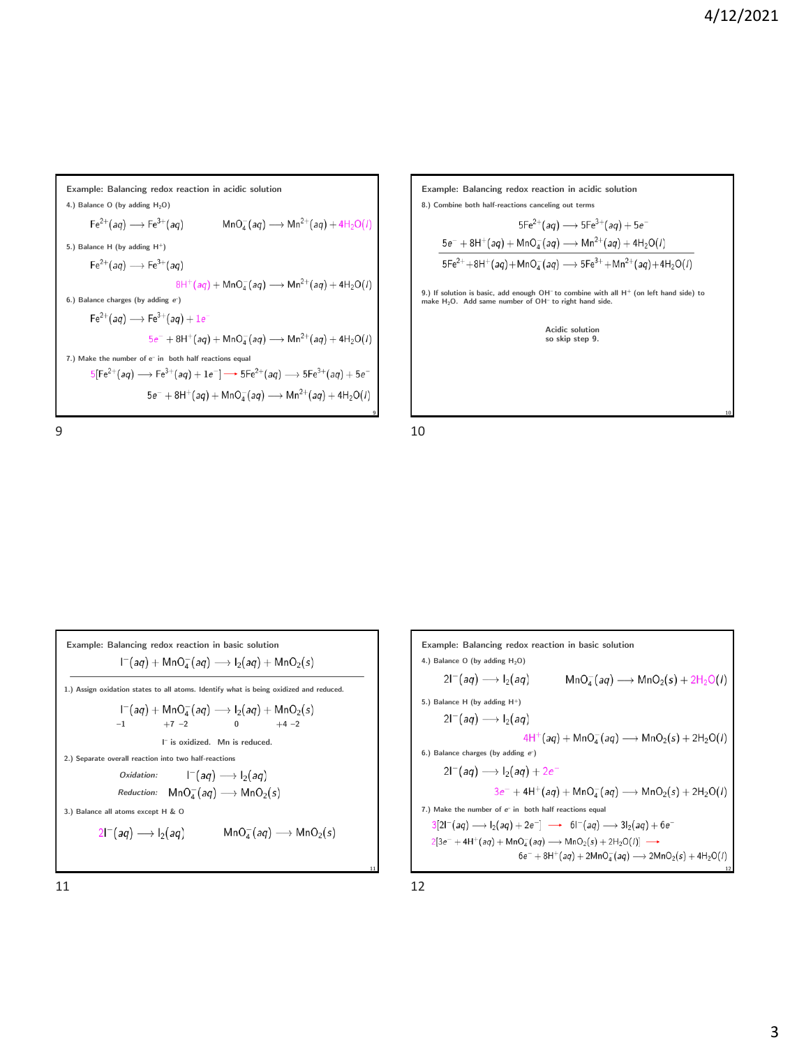**Example: Balancing redox reaction in acidic solution 4.) Balance O (by adding H2O)**  $\mathsf{Fe}^{2+}(aq) \longrightarrow \mathsf{Fe}^{3+}(aq)$  $\textsf{MnO}_4^-(aq) \longrightarrow \textsf{Mn}^{2+}(aq) + 4\textsf{H}_2\textsf{O}(l)$ **5.) Balance H (by adding H<sup>+</sup>)**  $\mathsf{Fe}^{2+}(aq) \longrightarrow \mathsf{Fe}^{3+}(aq)$  $8H^+(aq) + MnO_4^-(aq) \longrightarrow Mn^{2+}(aq) + 4H_2O(l)$ **6.) Balance charges (by adding** *e* **–)**  $\mathsf{Fe}^{2+}(aq) \longrightarrow \mathsf{Fe}^{3+}(aq) + 1e^{q}$  $5e^- + 8H^+(aq) + MnO_4^-(aq) \longrightarrow Mn^{2+}(aq) + 4H_2O(l)$ **7.) Make the number of e– in both half reactions equal**  $5[Fe^{2+}(aq) \rightarrow Fe^{3+}(aq) + 1e^-] \rightarrow 5Fe^{2+}(aq) \rightarrow 5Fe^{3+}(aq) + 5e^ 5e^- + 8H^+(aq) + MnO_4^-(aq) \longrightarrow Mn^{2+}(aq) + 4H_2O(l)$ **9**



**Example: Balancing redox reaction in basic solution**  $I^-(aq) + MnO_4^-(aq) \longrightarrow I_2(aq) + MnO_2(s)$ **1.) Assign oxidation states to all atoms. Identify what is being oxidized and reduced.**  $I^-(aq) + MnO_4^-(aq) \longrightarrow I_2(aq) + MnO_2(s)$  $-1$   $+7$   $-2$  0  $+4 -2$ **I – is oxidized. Mn is reduced. 2.) Separate overall reaction into two half-reactions** *Oxidation:*  $I^-(aq) \longrightarrow I_2(aq)$ *Reduction:*  $MnO<sub>A</sub>(aq) \longrightarrow MnO<sub>2</sub>(s)$ **3.) Balance all atoms except H & O**  $2\mathsf{I}^-(aq) \longrightarrow \mathsf{I}_2(aq)$  $\textsf{MnO}_4^-(aq) \longrightarrow \textsf{MnO}_2(s)$ 

**Example: Balancing redox reaction in basic solution 4.) Balance O (by adding H2O)**  $2I^-(aq) \longrightarrow I_2(aq)$  $MnO<sub>4</sub>(aq) \longrightarrow MnO<sub>2</sub>(s) + 2H<sub>2</sub>O(l)$ **5.) Balance H (by adding H<sup>+</sup>)**  $2\mathsf{I}^-(aq) \longrightarrow \mathsf{I}_2(aq)$  $4H^+(aq) + MnO_4^-(aq) \longrightarrow MnO_2(s) + 2H_2O(l)$ **6.) Balance charges (by adding** *e* **–)**  $2I^-(aq) \longrightarrow I_2(aq) + 2e^{\gamma}$  $3e^- + 4H^+(aq) + MnO_4^-(aq) \longrightarrow MnO_2(s) + 2H_2O(l)$ **7.) Make the number of** *e* **– in both half reactions equal**  $3[2]^{-}(aq) \rightarrow I_2(aq) + 2e^{-}$   $\rightarrow 6]^{-}(aq) \rightarrow 3I_2(aq) + 6e^{-}$  $2[3e^- + 4H^+(aq) + MnO_4^-(aq) \longrightarrow MnO_2(s) + 2H_2O(l)] \longrightarrow$  $6e^- + 8H^+(aq) + 2MnO_4^-(aq) \longrightarrow 2MnO_2(s) + 4H_2O(l)$ 

 $11$  12

**11**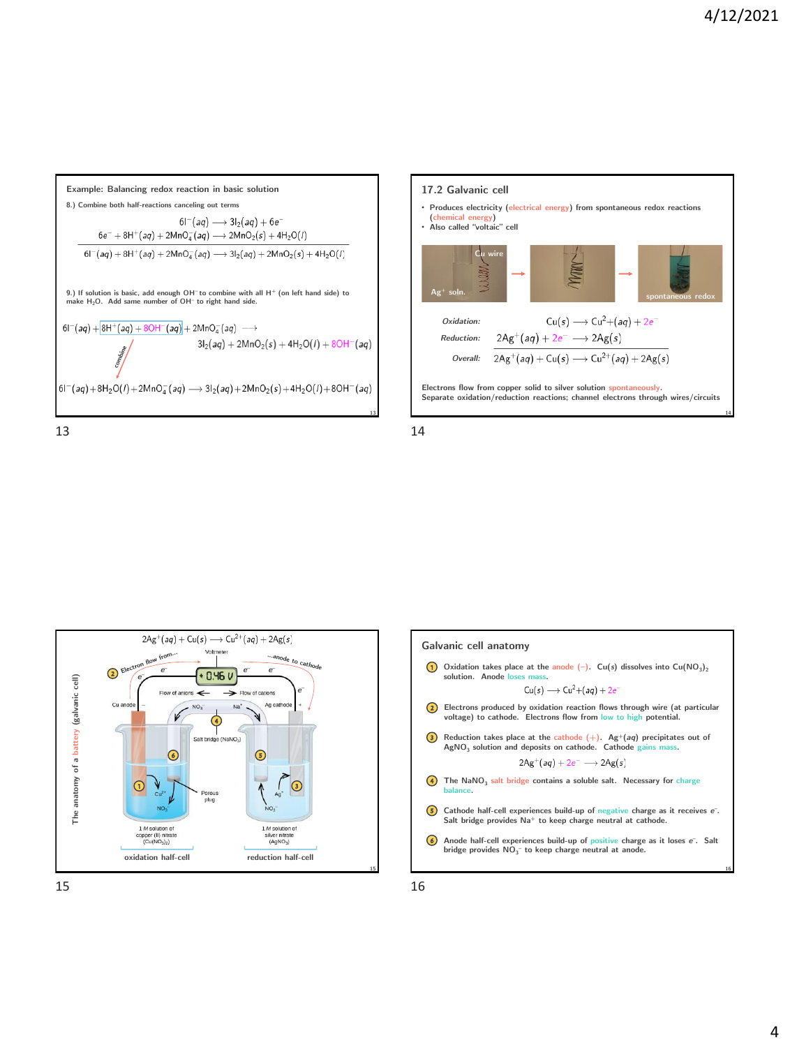





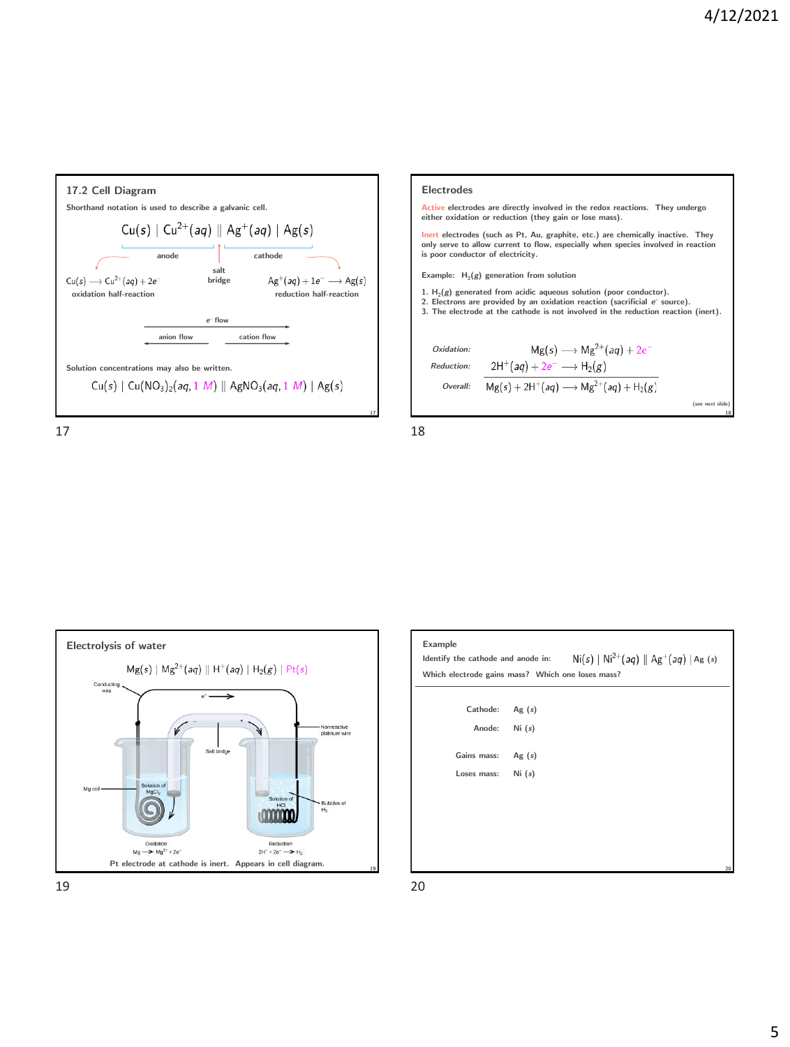





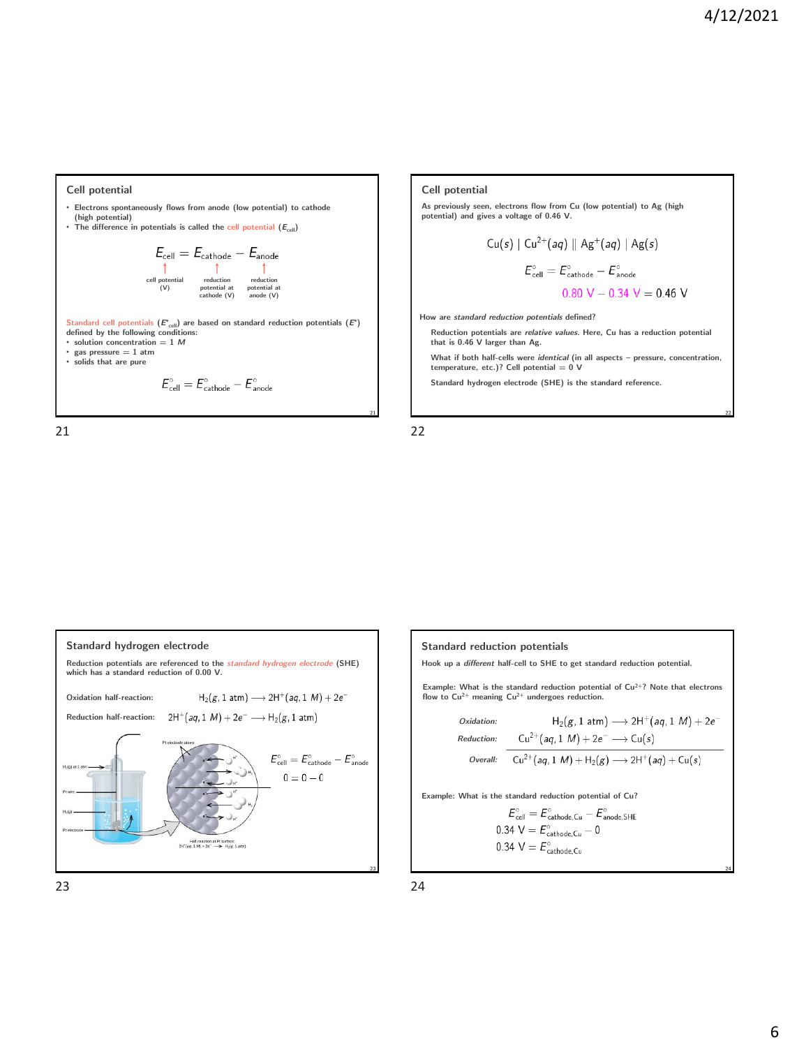#### **Cell potential**

- **Electrons spontaneously flows from anode (low potential) to cathode (high potential)**
- The difference in potentials is called the cell potential  $(E_{cell})$

$$
E_{cell} = E_{cathode} - E_{anode}
$$
\n
$$
\uparrow \qquad \uparrow \qquad \uparrow
$$
\n
$$
\uparrow \qquad \uparrow
$$
\n
$$
\uparrow \qquad \uparrow
$$
\n
$$
\uparrow
$$
\n
$$
\uparrow
$$
\n
$$
\uparrow
$$
\n
$$
\uparrow
$$
\n
$$
\uparrow
$$
\n
$$
\uparrow
$$
\n
$$
\uparrow
$$
\n
$$
\uparrow
$$
\n
$$
\uparrow
$$
\n
$$
\uparrow
$$
\n
$$
\uparrow
$$
\n
$$
\uparrow
$$
\n
$$
\uparrow
$$
\n
$$
\uparrow
$$
\n
$$
\uparrow
$$
\n
$$
\uparrow
$$
\n
$$
\uparrow
$$
\n
$$
\uparrow
$$
\n
$$
\uparrow
$$
\n
$$
\uparrow
$$
\n
$$
\uparrow
$$
\n
$$
\uparrow
$$
\n
$$
\uparrow
$$
\n
$$
\uparrow
$$
\n
$$
\uparrow
$$
\n
$$
\uparrow
$$
\n
$$
\uparrow
$$
\n
$$
\uparrow
$$
\n
$$
\uparrow
$$
\n
$$
\uparrow
$$
\n
$$
\uparrow
$$
\n
$$
\uparrow
$$
\n
$$
\uparrow
$$
\n
$$
\downarrow
$$
\n
$$
\downarrow
$$
\n
$$
\downarrow
$$
\n
$$
\downarrow
$$
\n
$$
\downarrow
$$
\n
$$
\downarrow
$$
\n
$$
\downarrow
$$
\n
$$
\downarrow
$$
\n
$$
\downarrow
$$
\n
$$
\downarrow
$$
\n
$$
\downarrow
$$
\n
$$
\downarrow
$$
\n
$$
\downarrow
$$
\n
$$
\downarrow
$$
\n
$$
\downarrow
$$
\n
$$
\downarrow
$$
\n
$$
\downarrow
$$
\n
$$
\downarrow
$$
\n
$$
\downarrow
$$
\n
$$
\downarrow
$$
\n
$$
\downarrow
$$
\n
$$
\downarrow
$$
\n
$$
\downarrow
$$
\n
$$
\down
$$

**Standard cell potentials (***E***°cell) are based on standard reduction potentials (***E***°) defined by the following conditions:**

• **solution concentration = 1**  $M$ • **gas pressure = 1 atm**

• **solids that are pure**

$$
E_{\text{cell}}^\circ = E_{\text{cathode}}^\circ - E_{\text{anode}}^\circ
$$

21 22







**Standard reduction potentials**

**Hook up a** *different* **half-cell to SHE to get standard reduction potential.**

**Example: What is the standard reduction potential of Cu2+? Note that electrons flow to Cu2+ meaning Cu2+ undergoes reduction.**

*Oxidation:*

\n
$$
H_{2}(g, 1 \text{ atm}) \longrightarrow 2H^{+}(aq, 1 \text{ M}) + 2e^{-}
$$
\nReduction:

\n
$$
Cu^{2+}(aq, 1 \text{ M}) + 2e^{-} \longrightarrow Cu(s)
$$
\n
$$
Overal:
$$
\n
$$
Cu^{2+}(aq, 1 \text{ M}) + H_{2}(g) \longrightarrow 2H^{+}(aq) + Cu(s)
$$

**Example: What is the standard reduction potential of Cu?**

$$
E_{cell}^{\circ} = E_{cathode,Cu}^{\circ} - E_{mode,SHE}^{\circ}
$$
  
0.34 V =  $E_{cathode,Cu}^{\circ} - 0$   
0.34 V =  $E_{cathode,Cu}^{\circ}$ 

 $23$  24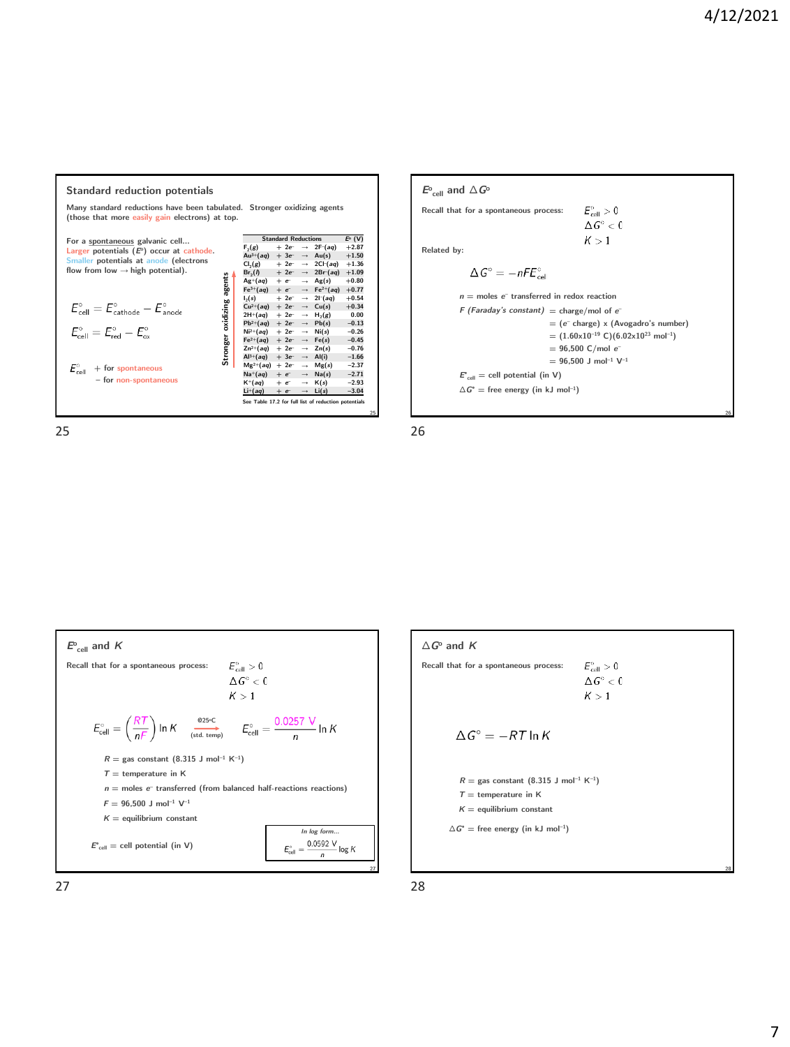#### **Standard reduction potentials Many standard reductions have been tabulated. Stronger oxidizing agents (those that more easily gain electrons) at top. Standard Reductions**  $E^{\circ}$  **(V)**<br>  $+2e^{-} \rightarrow 2F^{-}(aq) +2.87$ <br>  $(aq) + 3e^{-} \rightarrow Au(s) +1.56$ <br>  $\therefore$ <br>  $\therefore$ <br>  $\therefore$   $+2e^{-} \rightarrow 2Br(aq) +1.09$ <br>  $+2e^{-} \rightarrow 2Br(aq) +1.09$ For a <u>spontaneous</u> galvanic cell...<br><mark>Larger</mark> potentials (*E*°) occur at cathode.<br>Smaller potentials at anode (electrons<br>flow from low → high potential).  $F_2(g)$  + 2e<sup>-</sup>  $\rightarrow$  2F<sup>-</sup>(aq) +2.87<br>Au<sup>3+</sup>(aq) + 3e<sup>-</sup>  $\rightarrow$  Au(s) +1.50 Cl<sub>2</sub>(g) + 2e<sup>-</sup> → 2Cl<sup>-</sup>(aq) +1.36<br>Br<sub>2</sub>(l) + 2e<sup>-</sup> → 2Br<sup>-</sup>(aq) +1.09 agents **Stronger oxidizing agents**  $Ag^{+}(aq) + e^{-} \rightarrow Ag(s) +0.80$ <br>  $Fe^{3+}(aq) + e^{-} \rightarrow Fe^{2+}(aq) +0.77$  $\begin{array}{rcl} \mathbb{R} e^{3i} (aq) &+e^- &\to & \mathbb{R} e^{2i} (qq) &+0.75 \\ \mathbb{R} e^{3i} (aq) &+2e^- &\to & \mathbb{C} u (q) &+0.54 \\ \mathbb{C} u^{2i} (aq) &+2e^- &\to & \mathbb{C} u (s) &+0.30 \\ \mathbb{Z} H^2 (aq) &+2e^- &\to & \mathbb{P} u (s) &-0.13 \\ \mathbb{R} e^{3i} (aq) &+2e^- &\to & \mathbb{P} u (s) &-0.25 \\ \mathbb{R} e^{3i}$  $E_{cell}^{\circ} = E_{\text{cathode}}^{\circ} - E_{\text{anode}}^{\circ}$ oxidizing  $H_2(g)$  0.00<br>  $Pb(s)$  -0.13<br>  $Ni(s)$  -0.26  $E_{\text{cell}}^{\circ}=E_{\text{red}}^{\circ}-E_{\text{ox}}^{\circ}$ **Stronger**  $E_{\text{cell}}^{\circ}$  + for spontaneous Mg<sup>2+</sup>(*aq*) + 2e<sup>-</sup> → Mg(*s*) -2.37<br>Na+(*aq*) + e<sup>-</sup> → Na(*s*) -2.71 **– for non-spontaneous**  $K^{+}(aq)$  +  $e^{-}$  →  $K(s)$  -2.93<br>  $Li^{+}(aq)$  +  $e^{-}$  →  $Li(s)$  -3.04  $\mathsf{Li}^+(aq)$ **See Table 17.2 for full list of reduction 25**

 $25$  25





 $27$  28

 $E^{\text{o}}{}_{\text{cell}}$  and  $\Delta G^{\text{o}}$ 

**Related by:**

**Recall that for a spontaneous process:**

*n* **= moles** *e –* **transferred in redox reaction**  $F$  (Faraday's constant) = charge/mol of  $e^-$ 

 $E^{\circ}$ <sub>cell</sub> = cell potential (in V)  $\Delta G^{\circ}$  = free energy (in kJ mol<sup>-1</sup>)

 $\Delta G^{\circ}=-nFE^{\circ}_{cell}$ 

**= (***e –* **charge) x (Avogadro's number)**  $= (1.60 \times 10^{-19} \text{ C})(6.02 \times 10^{23} \text{ mol}^{-1})$ 

 $E_{cell}^{\circ} > 0$  $\Delta G^{\circ} < 0$  $K > 1$ 

**= 96,500 C/mol** *e –* **= 96,500 J mol–<sup>1</sup> V–<sup>1</sup>**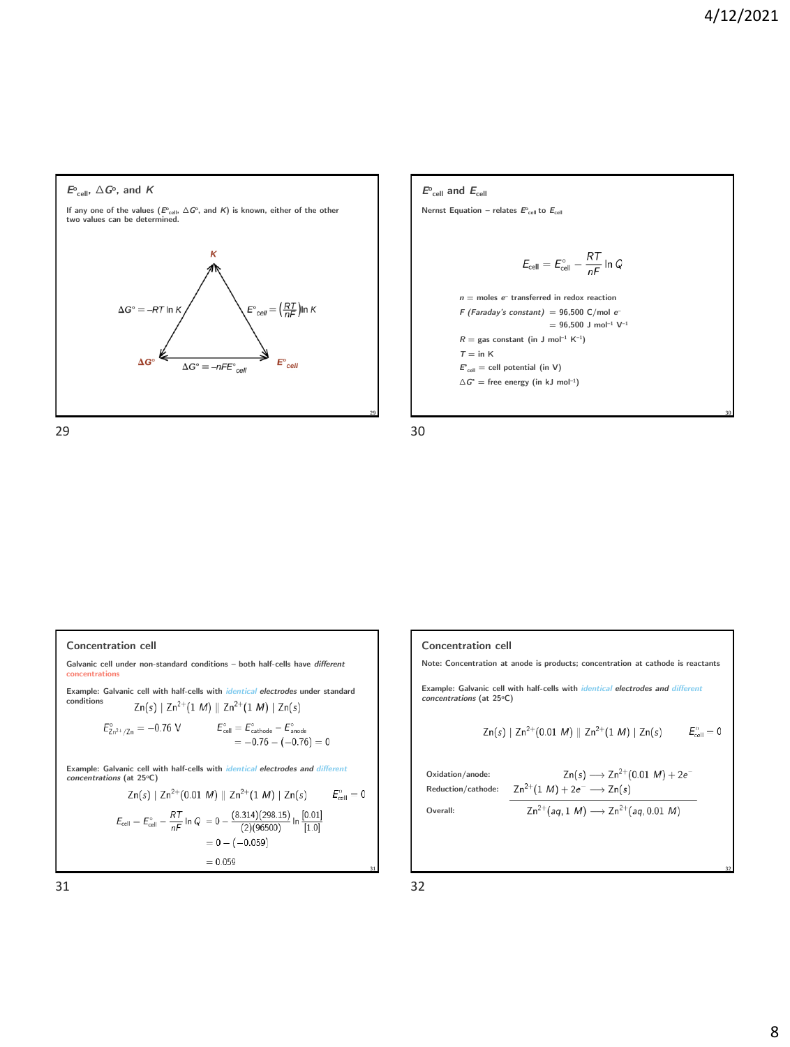



### **Concentration cell**

**Galvanic cell under non-standard conditions – both half-cells have** *different* **concentrations**

**Example: Galvanic cell with half-cells with** *identical electrodes* **under standard conditions**  $Zn(s) | Zn^{2+}(1 M) || Zn^{2+}(1 M) | Zn(s)$ 

$$
\begin{aligned} E_{Zn^{2+}/Zn}^{\circ} &= -0.76 \text{ V} & E_{cell}^{\circ} &= E_{cathode}^{\circ} - E_{anode}^{\circ} \\ &= -0.76 - (-0.76) = 0 \end{aligned}
$$

**Example: Galvanic cell with half-cells with** *identical electrodes and different concentrations* **(at 25<sup>o</sup>C)**

$$
Zn(s) | Zn^{2+}(0.01 M) || Zn^{2+}(1 M) | Zn(s) \t E_{cell}^{0} = 0
$$
  

$$
E_{cell} = E_{cell}^{0} - \frac{RT}{nF} \ln Q = 0 - \frac{(8.314)(298.15)}{(2)(96500)} \ln \frac{[0.01]}{[1.0]}
$$
  

$$
= 0 - (-0.059)
$$
  

$$
= 0.059
$$

**Concentration cell**

**Note: Concentration at anode is products; concentration at cathode is reactants**

**Example: Galvanic cell with half-cells with** *identical electrodes and different concentrations* **(at 25<sup>o</sup>C)**

$$
Zn(s) | Zn^{2+}(0.01 M) || Zn^{2+}(1 M) | Zn(s) \qquad E_{\text{cell}}^{\circ} = 0
$$

**Oxidation/anode: Reduction/cathode:**

$$
Zn(s) \longrightarrow Zn^{2+}(0.01 M) + 2e^{-}
$$
  

$$
Zn^{2+}(1 M) + 2e^{-} \longrightarrow Zn(s)
$$

**Overall:**

$$
\mathsf{Zn}^{2+}(aq,1~\mathsf{M})\longrightarrow \mathsf{Zn}^{2+}(aq,0.01~\mathsf{M})
$$

31 32

**31**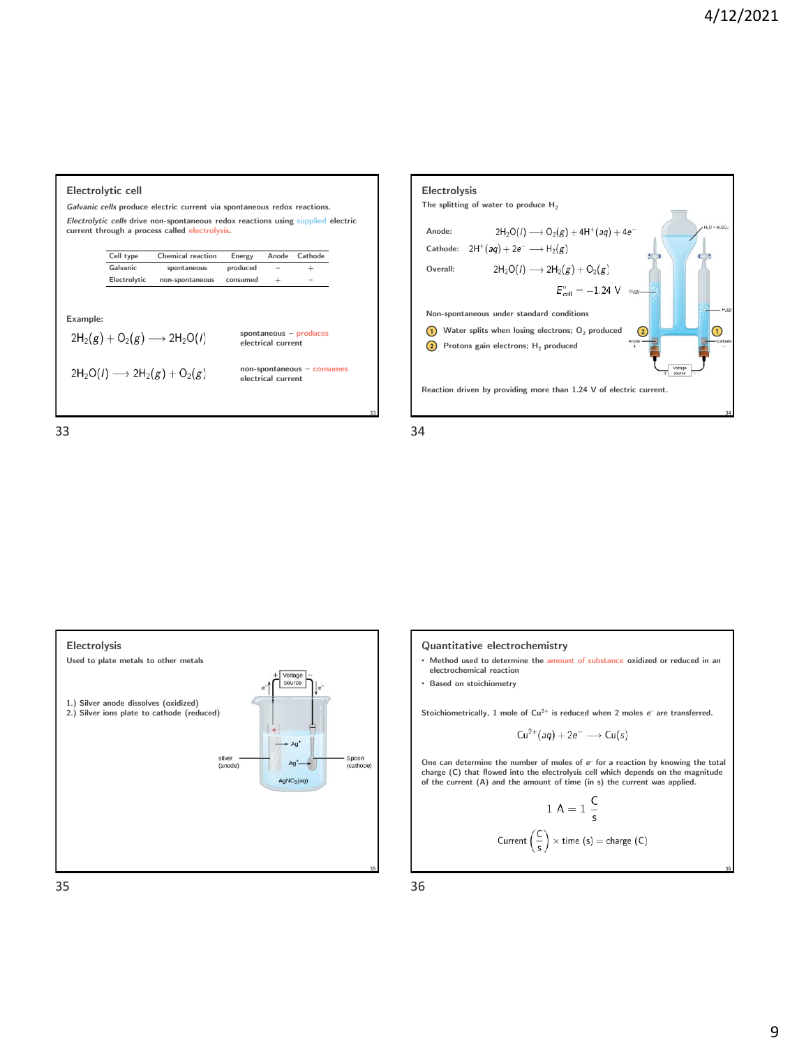|                                                                                                                                                                                                                | Electrolytic cell |                                                                                                                                    |          |        |         |    |  |  |  |
|----------------------------------------------------------------------------------------------------------------------------------------------------------------------------------------------------------------|-------------------|------------------------------------------------------------------------------------------------------------------------------------|----------|--------|---------|----|--|--|--|
| Galvanic cells produce electric current via spontaneous redox reactions.                                                                                                                                       |                   |                                                                                                                                    |          |        |         |    |  |  |  |
|                                                                                                                                                                                                                |                   | Electrolytic cells drive non-spontaneous redox reactions using supplied electric<br>current through a process called electrolysis. |          |        |         |    |  |  |  |
|                                                                                                                                                                                                                | Cell type         | Chemical reaction                                                                                                                  | Energy   | Anode  | Cathode |    |  |  |  |
|                                                                                                                                                                                                                | Galvanic          | spontaneous                                                                                                                        | produced |        | $^{+}$  |    |  |  |  |
|                                                                                                                                                                                                                | Electrolytic      | non-spontaneous                                                                                                                    | consumed | $^{+}$ |         |    |  |  |  |
| Example:<br>spontaneous $-$ produces<br>$2H_2(g) + O_2(g) \longrightarrow 2H_2O(l)$<br>electrical current<br>$non-spondaneous - consumes$<br>$2H_2O(I) \longrightarrow 2H_2(g) + O_2(g)$<br>electrical current |                   |                                                                                                                                    |          |        |         |    |  |  |  |
|                                                                                                                                                                                                                |                   |                                                                                                                                    |          |        |         | 33 |  |  |  |









- **Method used to determine the amount of substance oxidized or reduced in an electrochemical reaction**
- **Based on stoichiometry**

**Stoichiometrically, 1 mole of Cu2+ is reduced when 2 moles** *e –* **are transferred.**

$$
Cu^{2+}(aq) + 2e^- \longrightarrow Cu(s)
$$

One can determine the number of moles of  $e^-$  for a reaction by knowing the total charge (C) that flowed into the electrolysis cell which depends on the magnitude **of the current (A) and the amount of time (in s) the current was applied.**

$$
1\text{ A} = 1\frac{\text{C}}{\text{s}}
$$
\n
$$
\text{Current}\left(\frac{\text{C}}{\text{s}}\right) \times \text{time (s)} = \text{charge (C)}
$$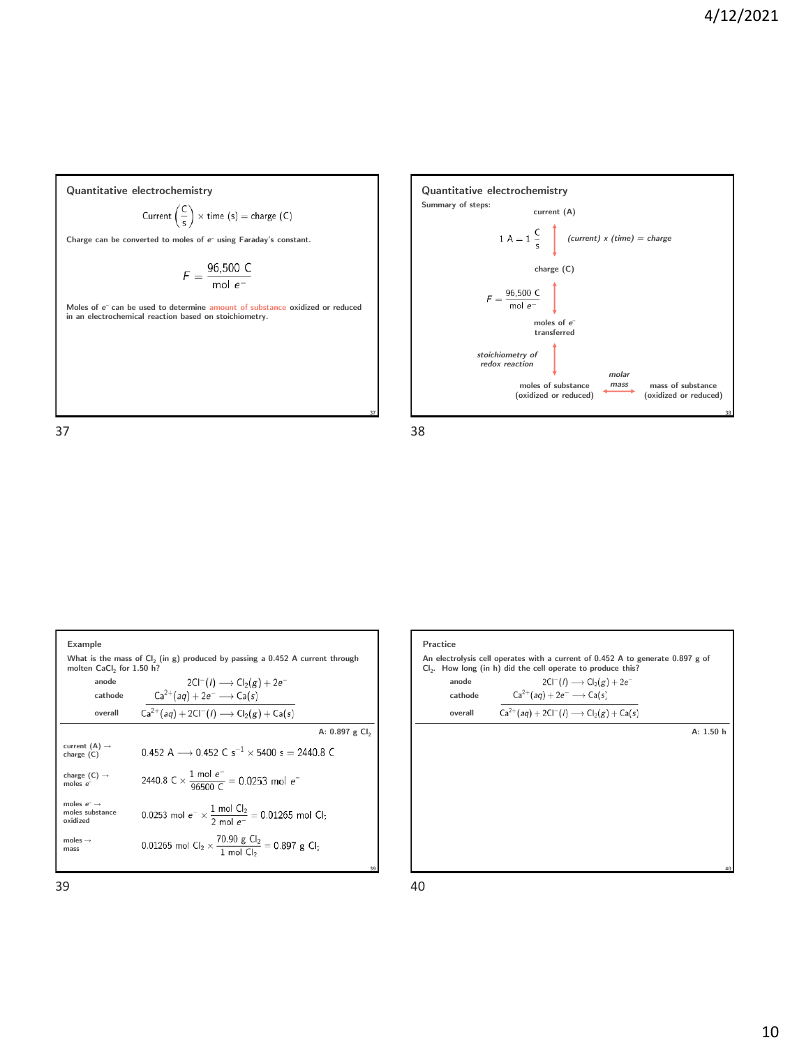**mass of substance (oxidized or reduced)**

**Quantitative electrochemistry** Current  $\left(\frac{C}{s}\right) \times$  time  $(s)$  = charge  $(C)$ 

**Charge can be converted to moles of** *e –* **using Faraday's constant.**

$$
F = \frac{96,500 \text{ C}}{\text{mol }e^-}
$$

**Moles of** *e –* **can be used to determine amount of substance oxidized or reduced in an electrochemical reaction based on stoichiometry.** 







 $39$  40

**37**

**Quantitative electrochemistry**

*stoichiometry of redox reaction*

 $F = \frac{96,500 \text{ C}}{\text{mol} \text{ s}^{-}}$ mol  $e^-$ 

**current (A)**

 $1 A = 1 \frac{C}{s}$  *(current) x (time) = charge* 

**charge (C)**

**moles of** *e* **– transferred**

**moles of substance (oxidized or reduced)** *molar mass*

**Summary of steps:**